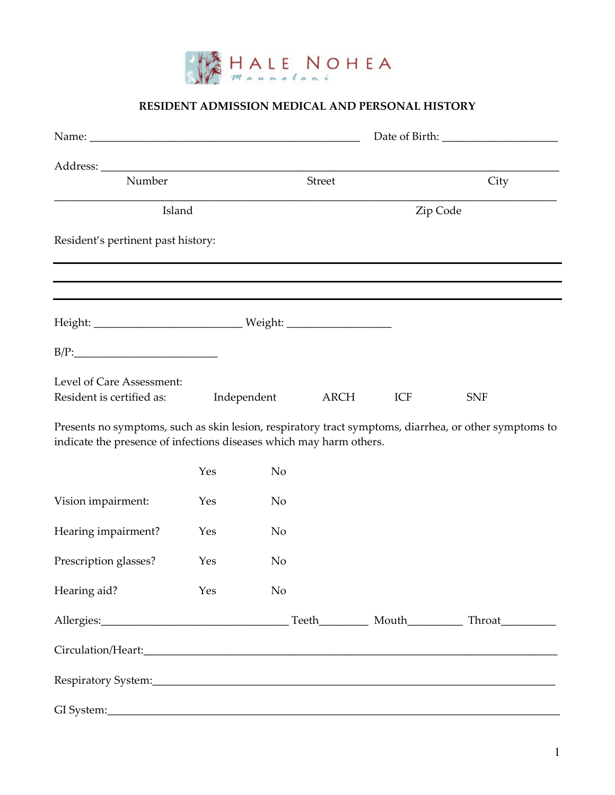

## RESIDENT ADMISSION MEDICAL AND PERSONAL HISTORY

| Number                                                                                                                                                                       |     |                | Street | City |            |
|------------------------------------------------------------------------------------------------------------------------------------------------------------------------------|-----|----------------|--------|------|------------|
| Island                                                                                                                                                                       |     | Zip Code       |        |      |            |
| Resident's pertinent past history:                                                                                                                                           |     |                |        |      |            |
|                                                                                                                                                                              |     |                |        |      |            |
|                                                                                                                                                                              |     |                |        |      |            |
| B/P:                                                                                                                                                                         |     |                |        |      |            |
| Level of Care Assessment:<br>Resident is certified as:                                                                                                                       |     | Independent    | ARCH   | ICF  | <b>SNF</b> |
| Presents no symptoms, such as skin lesion, respiratory tract symptoms, diarrhea, or other symptoms to<br>indicate the presence of infections diseases which may harm others. |     |                |        |      |            |
|                                                                                                                                                                              | Yes | N <sub>o</sub> |        |      |            |
| Vision impairment:                                                                                                                                                           | Yes | N <sub>o</sub> |        |      |            |
| Hearing impairment?                                                                                                                                                          | Yes | N <sub>o</sub> |        |      |            |
| Prescription glasses?                                                                                                                                                        | Yes | N <sub>o</sub> |        |      |            |
| Hearing aid?                                                                                                                                                                 | Yes | N <sub>o</sub> |        |      |            |
|                                                                                                                                                                              |     |                |        |      |            |
|                                                                                                                                                                              |     |                |        |      |            |
|                                                                                                                                                                              |     |                |        |      |            |
|                                                                                                                                                                              |     |                |        |      |            |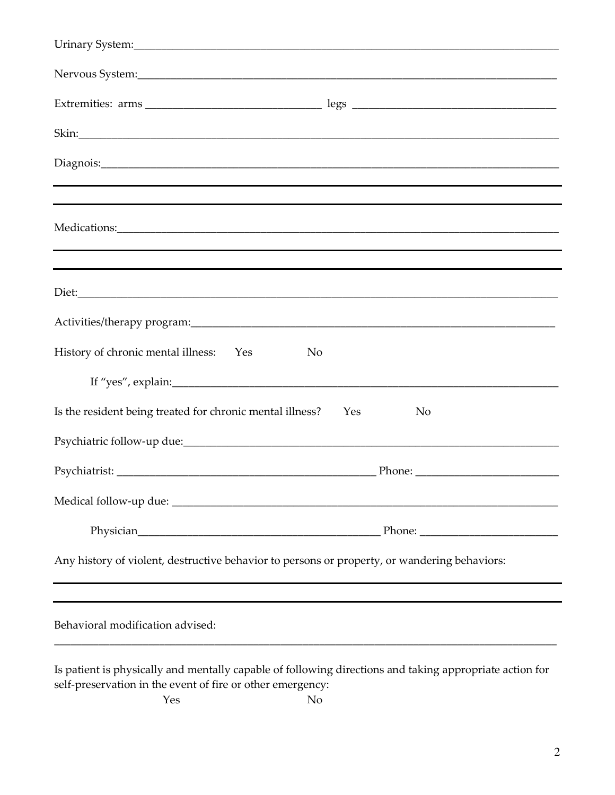| Urinary System: 2008 and 2008 and 2008 and 2008 and 2008 and 2008 and 2008 and 2008 and 2008 and 2008 and 2008                                                        |           |
|-----------------------------------------------------------------------------------------------------------------------------------------------------------------------|-----------|
|                                                                                                                                                                       |           |
|                                                                                                                                                                       |           |
|                                                                                                                                                                       |           |
|                                                                                                                                                                       |           |
|                                                                                                                                                                       |           |
|                                                                                                                                                                       |           |
|                                                                                                                                                                       |           |
|                                                                                                                                                                       |           |
| History of chronic mental illness: Yes<br>No                                                                                                                          |           |
|                                                                                                                                                                       |           |
| Is the resident being treated for chronic mental illness?                                                                                                             | Yes<br>No |
|                                                                                                                                                                       |           |
|                                                                                                                                                                       |           |
|                                                                                                                                                                       |           |
|                                                                                                                                                                       |           |
| Any history of violent, destructive behavior to persons or property, or wandering behaviors:                                                                          |           |
| Behavioral modification advised:                                                                                                                                      |           |
| Is patient is physically and mentally capable of following directions and taking appropriate action for<br>self-preservation in the event of fire or other emergency: |           |

Yes No